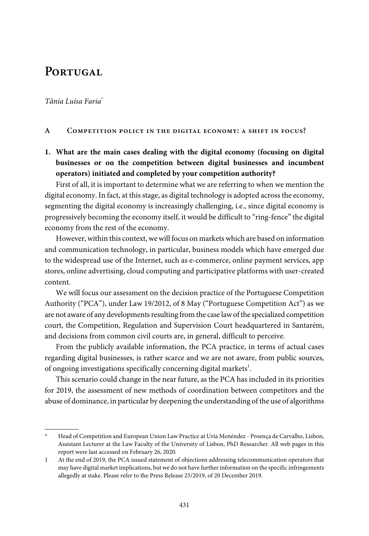# PORTUGAL

## Tânia Luísa Faria\*

#### **A Competition policy in the digital economy: a shift in focus?**

**1. What are the main cases dealing with the digital economy (focusing on digital businesses or on the competition between digital businesses and incumbent operators) initiated and completed by your competition authority?**

First of all, it is important to determine what we are referring to when we mention the digital economy. In fact, at this stage, as digital technology is adopted across the economy, segmenting the digital economy is increasingly challenging, i.e., since digital economy is progressively becoming the economy itself, it would be difficult to "ring-fence" the digital economy from the rest of the economy.

However, within this context, we will focus on markets which are based on information and communication technology, in particular, business models which have emerged due to the widespread use of the Internet, such as e-commerce, online payment services, app stores, online advertising, cloud computing and participative platforms with user-created content.

We will focus our assessment on the decision practice of the Portuguese Competition Authority ("PCA"), under Law 19/2012, of 8 May ("Portuguese Competition Act") as we are not aware of any developments resulting from the case law of the specialized competition court, the Competition, Regulation and Supervision Court headquartered in Santarém, and decisions from common civil courts are, in general, difficult to perceive.

From the publicly available information, the PCA practice, in terms of actual cases regarding digital businesses, is rather scarce and we are not aware, from public sources, of ongoing investigations specifically concerning digital markets<sup>1</sup>.

This scenario could change in the near future, as the PCA has included in its priorities for 2019, the assessment of new methods of coordination between competitors and the abuse of dominance, in particular by deepening the understanding of the use of algorithms

<sup>\*</sup> Head of Competition and European Union Law Practice at Uría Menéndez - Proença de Carvalho, Lisbon, Assistant Lecturer at the Law Faculty of the University of Lisbon, PhD Researcher. All web pages in this report were last accessed on February 26, 2020.

<sup>1</sup> At the end of 2019, the PCA issued statement of objections addressing telecommunication operators that may have digital market implications, but we do not have furtherinformation on the specific infringements allegedly at stake. Please refer to the Press Release 25/2019, of 20 December 2019.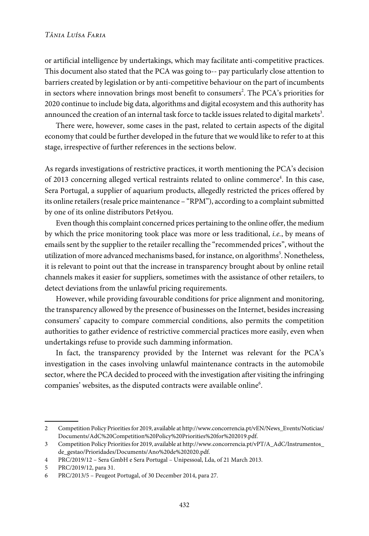or artificial intelligence by undertakings, which may facilitate anti-competitive practices. This document also stated that the PCA was going to-- pay particularly close attention to barriers created by legislation or by anti-competitive behaviour on the part of incumbents in sectors where innovation brings most benefit to consumers $^2.$  The PCA's priorities for 2020 continue to include big data, algorithms and digital ecosystem and this authority has announced the creation of an internal task force to tackle issues related to digital markets $^3.$ 

There were, however, some cases in the past, related to certain aspects of the digital economy that could be further developed in the future that we would like to referto at this stage, irrespective of further references in the sections below.

As regards investigations of restrictive practices, it worth mentioning the PCA's decision of 2013 concerning alleged vertical restraints related to online commerce<sup>4</sup>. In this case, Sera Portugal, a supplier of aquarium products, allegedly restricted the prices offered by its online retailers (resale price maintenance – "RPM"), according to a complaint submitted by one of its online distributors Pet4you.

Even though this complaint concerned prices pertaining to the online offer, the medium by which the price monitoring took place was more or less traditional, i.e., by means of emails sent by the supplier to the retailer recalling the "recommended prices", without the utilization of more advanced mechanisms based, for instance, on algorithms<sup>5</sup>. Nonetheless, it is relevant to point out that the increase in transparency brought about by online retail channels makes it easier for suppliers, sometimes with the assistance of other retailers, to detect deviations from the unlawful pricing requirements.

However, while providing favourable conditions for price alignment and monitoring, the transparency allowed by the presence of businesses on the Internet, besides increasing consumers' capacity to compare commercial conditions, also permits the competition authorities to gather evidence of restrictive commercial practices more easily, even when undertakings refuse to provide such damming information.

In fact, the transparency provided by the Internet was relevant for the PCA's investigation in the cases involving unlawful maintenance contracts in the automobile sector, where the PCA decided to proceed with the investigation after visiting the infringing companies' websites, as the disputed contracts were available online $\rm ^6$ .

<sup>2</sup> Competition Policy Prioritiesfor 2019, available at [http://www.concorrencia.pt/vEN/News\\_Events/Noticias/](www.concorrencia.pt/vEN/News_Events/Noticias/Documents/AdC%20Competition%20Policy%20Priorities%20for%202019.pdf) [Documents/AdC%20Competition%20Policy%20Priorities%20for%202019.pdf](www.concorrencia.pt/vEN/News_Events/Noticias/Documents/AdC%20Competition%20Policy%20Priorities%20for%202019.pdf).

<sup>3</sup> Competition Policy Prioritiesfor 2019, available at [http://www.concorrencia.pt/vPT/A\\_AdC/Instrumentos\\_](www.concorrencia.pt/vPT/A_AdC/Instrumentos_de_gestao/Prioridades/Documents/Ano%20de%202020.pdf) [de\\_gestao/Prioridades/Documents/Ano%20de%202020.pdf.](www.concorrencia.pt/vPT/A_AdC/Instrumentos_de_gestao/Prioridades/Documents/Ano%20de%202020.pdf)

<sup>4</sup> PRC/2019/12 – Sera GmbH e Sera Portugal – Unipessoal, Lda, of 21 March 2013.

<sup>5</sup> PRC/2019/12, para 31.

<sup>6</sup> PRC/2013/5 – Peugeot Portugal, of 30 December 2014, para 27.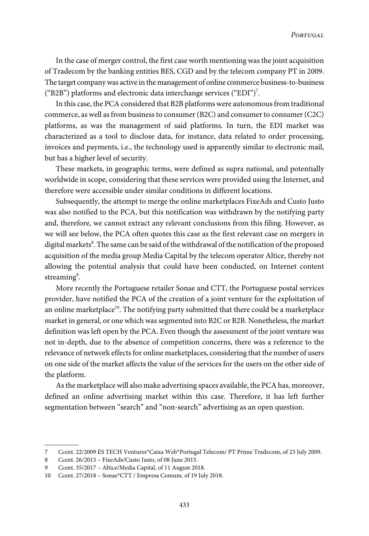In the case of merger control, the first case worth mentioning was the joint acquisition of Tradecom by the banking entities BES, CGD and by the telecom company PT in 2009. The target companywas active in the management of online commerce business-to-business ("B2B") platforms and electronic data interchange services ("EDI")<sup>7</sup>.

In this case, the PCA considered that B2B platforms were autonomous from traditional commerce, as well as from business to consumer (B2C) and consumer to consumer (C2C) platforms, as was the management of said platforms. In turn, the EDI market was characterized as a tool to disclose data, for instance, data related to order processing, invoices and payments, i.e., the technology used is apparently similar to electronic mail, but has a higher level of security.

These markets, in geographic terms, were defined as supra national, and potentially worldwide in scope, considering that these services were provided using the Internet, and therefore were accessible under similar conditions in different locations.

Subsequently, the attempt to merge the online marketplaces FixeAds and Custo Justo was also notified to the PCA, but this notification was withdrawn by the notifying party and, therefore, we cannot extract any relevant conclusions from this filing. However, as we will see below, the PCA often quotes this case as the first relevant case on mergers in digital markets $^\mathrm{s}$ . The same can be said of the withdrawal of the notification of the proposed acquisition of the media group Media Capital by the telecom operator Altice, thereby not allowing the potential analysis that could have been conducted, on Internet content streaming<sup>9</sup>.

More recently the Portuguese retailer Sonae and CTT, the Portuguese postal services provider, have notified the PCA of the creation of a joint venture for the exploitation of an online marketplace<sup>10</sup>. The notifying party submitted that there could be a marketplace market in general, or one which was segmented into B2C or B2B. Nonetheless, the market definition was left open by the PCA. Even though the assessment of the joint venture was not in-depth, due to the absence of competition concerns, there was a reference to the relevance of network effects for online marketplaces, considering that the number of users on one side of the market affects the value of the services for the users on the other side of the platform.

As the marketplace will also make advertising spaces available, the PCA has, moreover, defined an online advertising market within this case. Therefore, it has left further segmentation between "search" and "non-search" advertising as an open question.

<sup>7</sup> Ccent. 22/2009 ES TECH Ventures\*Caixa Web\*Portugal Telecom/ PT Prime Tradecom, of 23 July 2009.

<sup>8</sup> Ccent. 26/2015 – FixeAds/Custo Justo, of 08 June 2015.

<sup>9</sup> Ccent. 35/2017 – Altice/Media Capital, of 11 August 2018.

<sup>10</sup> Ccent. 27/2018 – Sonae\*CTT / Empresa Comum, of 19 July 2018.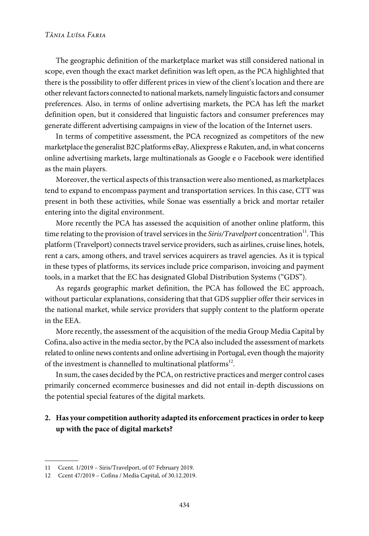## *Tânia Luísa Faria*

The geographic definition of the marketplace market was still considered national in scope, even though the exact market definition was left open, as the PCA highlighted that there is the possibility to offer different prices in view of the client's location and there are other relevant factors connected to national markets, namely linguistic factors and consumer preferences. Also, in terms of online advertising markets, the PCA has left the market definition open, but it considered that linguistic factors and consumer preferences may generate different advertising campaigns in view of the location of the Internet users.

In terms of competitive assessment, the PCA recognized as competitors of the new marketplace the generalist B2C platforms eBay, Aliexpress e Rakuten, and, in what concerns online advertising markets, large multinationals as Google e o Facebook were identified as the main players.

Moreover, the vertical aspects of this transaction were also mentioned, as marketplaces tend to expand to encompass payment and transportation services. In this case, CTT was present in both these activities, while Sonae was essentially a brick and mortar retailer entering into the digital environment.

More recently the PCA has assessed the acquisition of another online platform, this time relating to the provision of travel services in the Siris/Travelport concentration<sup>11</sup>. This platform (Travelport) connects travel service providers, such as airlines, cruise lines, hotels, rent a cars, among others, and travel services acquirers as travel agencies. As it is typical in these types of platforms, its services include price comparison, invoicing and payment tools, in a market that the EC has designated Global Distribution Systems ("GDS").

As regards geographic market definition, the PCA has followed the EC approach, without particular explanations, considering that that GDS supplier offer their services in the national market, while service providers that supply content to the platform operate in the EEA.

More recently, the assessment of the acquisition of the media Group Media Capital by Cofina, also active in the media sector, by the PCAalso included the assessment of markets related to online news contents and online advertising in Portugal, even though the majority of the investment is channelled to multinational platforms $^{12}$ .

In sum, the cases decided by the PCA, on restrictive practices and merger control cases primarily concerned ecommerce businesses and did not entail in-depth discussions on the potential special features of the digital markets.

## **2. Has your competition authority adapted its enforcement practicesin order to keep up with the pace of digital markets?**

<sup>11</sup> Ccent. 1/2019 – Siris/Travelport, of 07 February 2019.

<sup>12</sup> Ccent 47/2019 – Cofina / Media Capital, of 30.12.2019.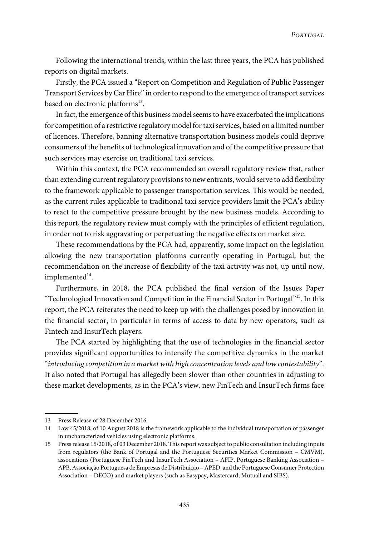Following the international trends, within the last three years, the PCA has published reports on digital markets.

Firstly, the PCA issued a "Report on Competition and Regulation of Public Passenger Transport Services by Car Hire" in order to respond to the emergence of transport services based on electronic platforms<sup>13</sup>.

In fact, the emergence of this business model seems to have exacerbated the implications for competition of a restrictive regulatory model fortaxiservices, based on a limited number of licences. Therefore, banning alternative transportation business models could deprive consumers of the benefits of technological innovation and of the competitive pressure that such services may exercise on traditional taxi services.

Within this context, the PCA recommended an overall regulatory review that, rather than extending current regulatory provisions to new entrants, would serve to add flexibility to the framework applicable to passenger transportation services. This would be needed, as the current rules applicable to traditional taxi service providers limit the PCA's ability to react to the competitive pressure brought by the new business models. According to this report, the regulatory review must comply with the principles of efficient regulation, in order not to risk aggravating or perpetuating the negative effects on market size.

These recommendations by the PCA had, apparently, some impact on the legislation allowing the new transportation platforms currently operating in Portugal, but the recommendation on the increase of flexibility of the taxi activity was not, up until now,  $implemented<sup>14</sup>.$ 

Furthermore, in 2018, the PCA published the final version of the Issues Paper  $\rm``Technological\ In novation$  and Competition in the Financial Sector in Portugal $\rm^{215}.$  In this report, the PCA reiterates the need to keep up with the challenges posed by innovation in the financial sector, in particular in terms of access to data by new operators, such as Fintech and InsurTech players.

The PCA started by highlighting that the use of technologies in the financial sector provides significant opportunities to intensify the competitive dynamics in the market "introducing competition in a market with high concentration levels and low contestability". It also noted that Portugal has allegedly been slower than other countries in adjusting to these market developments, as in the PCA's view, new FinTech and InsurTech firms face

<sup>13</sup> Press Release of 28 December 2016.

<sup>14</sup> Law 45/2018, of 10 August 2018 is the framework applicable to the individual transportation of passenger in uncharacterized vehicles using electronic platforms.

<sup>15</sup> Pressrelease 15/2018, of 03 December 2018. Thisreport wassubject to public consultation including inputs from regulators (the Bank of Portugal and the Portuguese Securities Market Commission – CMVM), associations (Portuguese FinTech and InsurTech Association – AFIP, Portuguese Banking Association – APB, Associação Portuguesa de Empresas de Distribuição - APED, and the Portuguese Consumer Protection Association – DECO) and market players (such as Easypay, Mastercard, Mutuall and SIBS).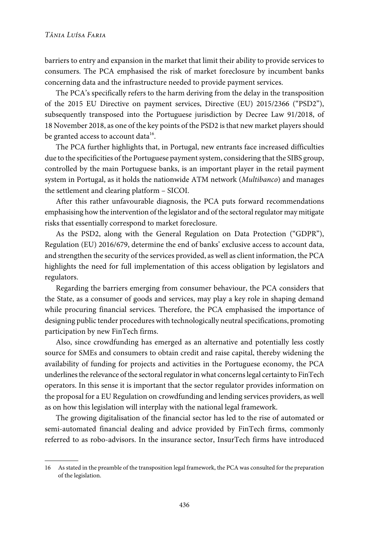barriers to entry and expansion in the market that limit their ability to provide services to consumers. The PCA emphasised the risk of market foreclosure by incumbent banks concerning data and the infrastructure needed to provide payment services.

The PCA's specifically refers to the harm deriving from the delay in the transposition of the 2015 EU Directive on payment services, Directive (EU) 2015/2366 ("PSD2"), subsequently transposed into the Portuguese jurisdiction by Decree Law 91/2018, of 18 November 2018, as one of the key points of the PSD2 is that new market players should be granted access to account data<sup>16</sup>.

The PCA further highlights that, in Portugal, new entrants face increased difficulties due to the specificities of the Portuguese payment system, considering that the SIBS group, controlled by the main Portuguese banks, is an important player in the retail payment system in Portugal, as it holds the nationwide ATM network (*Multibanco*) and manages the settlement and clearing platform – SICOI.

After this rather unfavourable diagnosis, the PCA puts forward recommendations emphasising how the intervention of the legislator and of the sectoral regulator may mitigate risks that essentially correspond to market foreclosure.

As the PSD2, along with the General Regulation on Data Protection ("GDPR"), Regulation (EU) 2016/679, determine the end of banks' exclusive access to account data, and strengthen the security of the services provided, as well as client information, the PCA highlights the need for full implementation of this access obligation by legislators and regulators.

Regarding the barriers emerging from consumer behaviour, the PCA considers that the State, as a consumer of goods and services, may play a key role in shaping demand while procuring financial services. Therefore, the PCA emphasised the importance of designing public tender procedures with technologically neutral specifications, promoting participation by new FinTech firms.

Also, since crowdfunding has emerged as an alternative and potentially less costly source for SMEs and consumers to obtain credit and raise capital, thereby widening the availability of funding for projects and activities in the Portuguese economy, the PCA underlines the relevance of the sectoral regulator in what concerns legal certainty to FinTech operators. In this sense it is important that the sector regulator provides information on the proposal for a EU Regulation on crowdfunding and lending services providers, as well as on how this legislation will interplay with the national legal framework.

The growing digitalisation of the financial sector has led to the rise of automated or semi-automated financial dealing and advice provided by FinTech firms, commonly referred to as robo-advisors. In the insurance sector, InsurTech firms have introduced

<sup>16</sup> As stated in the preamble of the transposition legal framework, the PCA was consulted for the preparation of the legislation.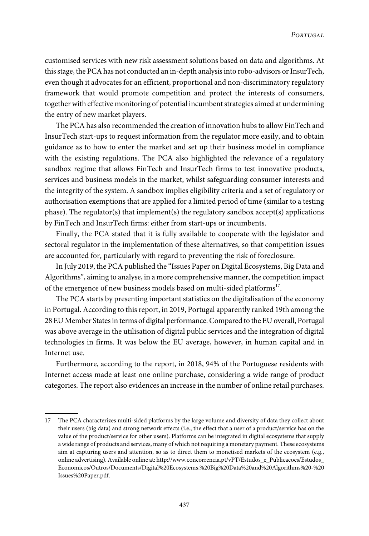customised services with new risk assessment solutions based on data and algorithms. At this stage, the PCA has not conducted an in-depth analysis into robo-advisors or InsurTech, even though it advocates for an efficient, proportional and non-discriminatory regulatory framework that would promote competition and protect the interests of consumers, together with effective monitoring of potential incumbent strategies aimed at undermining the entry of new market players.

The PCA has also recommended the creation of innovation hubsto allow FinTech and InsurTech start-ups to request information from the regulator more easily, and to obtain guidance as to how to enter the market and set up their business model in compliance with the existing regulations. The PCA also highlighted the relevance of a regulatory sandbox regime that allows FinTech and InsurTech firms to test innovative products, services and business models in the market, whilst safeguarding consumer interests and the integrity of the system. A sandbox implies eligibility criteria and a set of regulatory or authorisation exemptions that are applied for a limited period of time (similar to a testing phase). The regulator(s) that implement(s) the regulatory sandbox accept(s) applications by FinTech and InsurTech firms: either from start-ups or incumbents.

Finally, the PCA stated that it is fully available to cooperate with the legislator and sectoral regulator in the implementation of these alternatives, so that competition issues are accounted for, particularly with regard to preventing the risk of foreclosure.

In July 2019, the PCA published the "Issues Paper on Digital Ecosystems, Big Data and Algorithms", aiming to analyse, in a more comprehensive manner, the competition impact of the emergence of new business models based on multi-sided platforms<sup>17</sup>.

The PCA starts by presenting important statistics on the digitalisation of the economy in Portugal. According to thisreport, in 2019, Portugal apparently ranked 19th among the 28 EU Member Statesin terms of digital performance.Compared to the EU overall, Portugal was above average in the utilisation of digital public services and the integration of digital technologies in firms. It was below the EU average, however, in human capital and in Internet use.

Furthermore, according to the report, in 2018, 94% of the Portuguese residents with Internet access made at least one online purchase, considering a wide range of product categories. The report also evidences an increase in the number of online retail purchases.

<sup>17</sup> The PCA characterizes multi-sided platforms by the large volume and diversity of data they collect about their users (big data) and strong network effects (i.e., the effect that a user of a product/service has on the value of the product/service for other users). Platforms can be integrated in digital ecosystems that supply a wide range of products and services, many of which notrequiring a monetary payment. These ecosystems aim at capturing users and attention, so as to direct them to monetised markets of the ecosystem (e.g., online advertising). Available online at: [http://www.concorrencia.pt/vPT/Estudos\\_e\\_Publicacoes/Estudos\\_](www.concorrencia.pt/vPT/Estudos_e_Publicacoes/Estudos_Economicos/Outros/Documents/Digital%20Ecosystems,%20Big%20Data%20and%20Algorithms%20-%20Issues%20Paper.pdf) [Economicos/Outros/Documents/Digital%20Ecosystems,%20Big%20Data%20and%20Algorithms%20-%20](www.concorrencia.pt/vPT/Estudos_e_Publicacoes/Estudos_Economicos/Outros/Documents/Digital%20Ecosystems,%20Big%20Data%20and%20Algorithms%20-%20Issues%20Paper.pdf) [Issues%20Paper.pdf.](www.concorrencia.pt/vPT/Estudos_e_Publicacoes/Estudos_Economicos/Outros/Documents/Digital%20Ecosystems,%20Big%20Data%20and%20Algorithms%20-%20Issues%20Paper.pdf)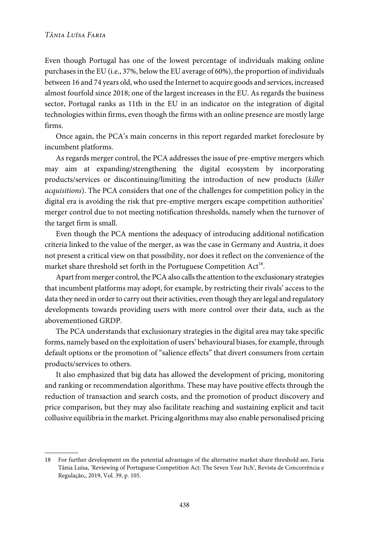Even though Portugal has one of the lowest percentage of individuals making online purchasesin the EU (i.e., 37%, belowthe EU average of 60%), the proportion of individuals between 16 and 74 years old,who used the Internet to acquire goods and services, increased almost fourfold since 2018; one of the largest increases in the EU. As regards the business sector, Portugal ranks as 11th in the EU in an indicator on the integration of digital technologies within firms, even though the firms with an online presence are mostly large firms.

Once again, the PCA's main concerns in this report regarded market foreclosure by incumbent platforms.

As regards merger control, the PCA addresses the issue of pre-emptive mergers which may aim at expanding/strengthening the digital ecosystem by incorporating products/services or discontinuing/limiting the introduction of new products (killer acquisitions). The PCA considers that one of the challenges for competition policy in the digital era is avoiding the risk that pre-emptive mergers escape competition authorities' merger control due to not meeting notification thresholds, namely when the turnover of the target firm is small.

Even though the PCA mentions the adequacy of introducing additional notification criteria linked to the value of the merger, as was the case in Germany and Austria, it does not present a critical view on that possibility, nor does it reflect on the convenience of the market share threshold set forth in the Portuguese Competition  $Act^{18}$ .

Apart from merger control, the PCA also calls the attention to the exclusionary strategies that incumbent platforms may adopt, for example, by restricting their rivals' access to the data they need in order to carry out their activities, even though they are legal and regulatory developments towards providing users with more control over their data, such as the abovementioned GRDP.

The PCA understands that exclusionary strategies in the digital area may take specific forms, namely based on the exploitation of users' behavioural biases, for example, through default options or the promotion of "salience effects" that divert consumers from certain products/services to others.

It also emphasized that big data has allowed the development of pricing, monitoring and ranking or recommendation algorithms. These may have positive effects through the reduction of transaction and search costs, and the promotion of product discovery and price comparison, but they may also facilitate reaching and sustaining explicit and tacit collusive equilibria in the market. Pricing algorithms may also enable personalised pricing

<sup>18</sup> For further development on the potential advantages of the alternative market share threshold see, Faria Tânia Luísa, 'Reviewing of Portuguese Competition Act: The Seven Year Itch', Revista de Concorrência e Regulação,, 2019, Vol. 39, p. 105.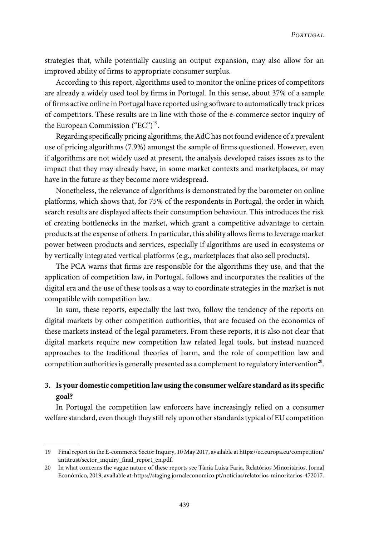strategies that, while potentially causing an output expansion, may also allow for an improved ability of firms to appropriate consumer surplus.

According to this report, algorithms used to monitor the online prices of competitors are already a widely used tool by firms in Portugal. In this sense, about 37% of a sample of firms active online in Portugal have reported using software to automatically track prices of competitors. These results are in line with those of the e-commerce sector inquiry of the European Commission ("EC")<sup>19</sup>.

Regarding specifically pricing algorithms, the AdC has not found evidence of a prevalent use of pricing algorithms (7.9%) amongst the sample of firms questioned. However, even if algorithms are not widely used at present, the analysis developed raises issues as to the impact that they may already have, in some market contexts and marketplaces, or may have in the future as they become more widespread.

Nonetheless, the relevance of algorithms is demonstrated by the barometer on online platforms, which shows that, for 75% of the respondents in Portugal, the order in which search results are displayed affects their consumption behaviour. This introduces the risk of creating bottlenecks in the market, which grant a competitive advantage to certain products at the expense of others. In particular, this ability allowsfirmsto leverage market power between products and services, especially if algorithms are used in ecosystems or by vertically integrated vertical platforms (e.g., marketplaces that also sell products).

The PCA warns that firms are responsible for the algorithms they use, and that the application of competition law, in Portugal, follows and incorporates the realities of the digital era and the use of these tools as a way to coordinate strategies in the market is not compatible with competition law.

In sum, these reports, especially the last two, follow the tendency of the reports on digital markets by other competition authorities, that are focused on the economics of these markets instead of the legal parameters. From these reports, it is also not clear that digital markets require new competition law related legal tools, but instead nuanced approaches to the traditional theories of harm, and the role of competition law and competition authorities is generally presented as a complement to regulatory intervention $^{20}.$ 

# **3. Is your domestic competition lawusing the consumerwelfare standard asitsspecific goal?**

In Portugal the competition law enforcers have increasingly relied on a consumer welfare standard, even though they still rely upon other standards typical of EU competition

<sup>19</sup> Finalreport on the E-commerce SectorInquiry, 10 May 2017, available at [https://ec.europa.eu/competition/](https://ec.europa.eu/competition/antitrust/sector_inquiry_final_report_en.pdf) [antitrust/sector\\_inquiry\\_final\\_report\\_en.pdf.](https://ec.europa.eu/competition/antitrust/sector_inquiry_final_report_en.pdf)

<sup>20</sup> In what concerns the vague nature of these reports see Tânia Luísa Faria, Relatórios Minoritários, Jornal Económico, 2019, available at: <https://staging.jornaleconomico.pt/noticias/relatorios-minoritarios-472017>.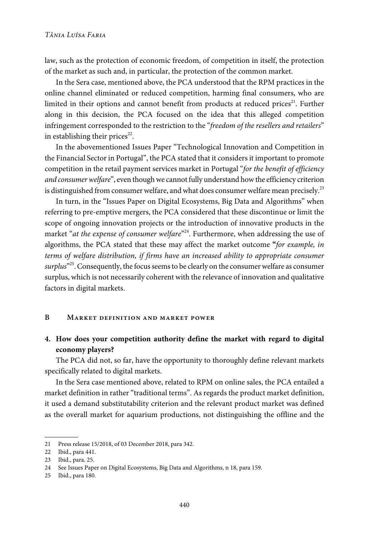law, such as the protection of economic freedom, of competition in itself, the protection of the market as such and, in particular, the protection of the common market.

In the Sera case, mentioned above, the PCA understood that the RPM practices in the online channel eliminated or reduced competition, harming final consumers, who are limited in their options and cannot benefit from products at reduced prices<sup>21</sup>. Further along in this decision, the PCA focused on the idea that this alleged competition infringement corresponded to the restriction to the "freedom of the resellers and retailers" in establishing their prices $^{22}$ .

In the abovementioned Issues Paper "Technological Innovation and Competition in the Financial Sector in Portugal", the PCA stated that it considers it important to promote competition in the retail payment services market in Portugal "for the benefit of efficiency and consumer welfare", even though we cannot fully understand how the efficiency criterion is distinguished from consumer welfare, and what does consumer welfare mean precisely.<sup>23</sup>

In turn, in the "Issues Paper on Digital Ecosystems, Big Data and Algorithms" when referring to pre-emptive mergers, the PCA considered that these discontinue or limit the scope of ongoing innovation projects or the introduction of innovative products in the market "*at the expense of consumer welfare*"<sup>24</sup>. Furthermore, when addressing the use of algorithms, the PCA stated that these may affect the market outcome **"**for example, in terms of welfare distribution, if firms have an increased ability to appropriate consumer s*urplus*"<sup>25</sup>. Consequently, the focus seems to be clearly on the consumer welfare as consumer surplus, which is not necessarily coherent with the relevance of innovation and qualitative factors in digital markets.

## **B Market definition and market power**

## **4. How does your competition authority define the market with regard to digital economy players?**

The PCA did not, so far, have the opportunity to thoroughly define relevant markets specifically related to digital markets.

In the Sera case mentioned above, related to RPM on online sales, the PCA entailed a market definition in rather "traditional terms". As regards the product market definition, it used a demand substitutability criterion and the relevant product market was defined as the overall market for aquarium productions, not distinguishing the offline and the

<sup>21</sup> Press release 15/2018, of 03 December 2018, para 342.

<sup>22</sup> Ibid., para 441.

<sup>23</sup> Ibid., para. 25.

<sup>24</sup> See Issues Paper on Digital Ecosystems, Big Data and Algorithms, n 18, para 159.

<sup>25</sup> Ibid., para 180.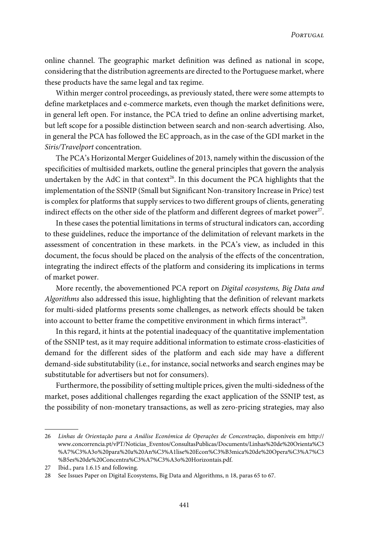online channel. The geographic market definition was defined as national in scope, considering that the distribution agreements are directed to the Portuguese market, where these products have the same legal and tax regime.

Within merger control proceedings, as previously stated, there were some attempts to define marketplaces and e-commerce markets, even though the market definitions were, in general left open. For instance, the PCA tried to define an online advertising market, but left scope for a possible distinction between search and non-search advertising. Also, in general the PCA has followed the EC approach, as in the case of the GDI market in the Siris/Travelport concentration.

The PCA's Horizontal Merger Guidelines of 2013, namely within the discussion of the specificities of multisided markets, outline the general principles that govern the analysis undertaken by the AdC in that context<sup>26</sup>. In this document the PCA highlights that the implementation of the SSNIP (Small but Significant Non-transitory Increase in Price) test is complex for platforms that supply services to two different groups of clients, generating indirect effects on the other side of the platform and different degrees of market power $^{27}\!$ .

In these cases the potential limitations in terms of structural indicators can, according to these guidelines, reduce the importance of the delimitation of relevant markets in the assessment of concentration in these markets. in the PCA's view, as included in this document, the focus should be placed on the analysis of the effects of the concentration, integrating the indirect effects of the platform and considering its implications in terms of market power.

More recently, the abovementioned PCA report on Digital ecosystems, Big Data and Algorithms also addressed this issue, highlighting that the definition of relevant markets for multi-sided platforms presents some challenges, as network effects should be taken into account to better frame the competitive environment in which firms interact<sup>28</sup>.

In this regard, it hints at the potential inadequacy of the quantitative implementation of the SSNIP test, as it may require additional information to estimate cross-elasticities of demand for the different sides of the platform and each side may have a different demand-side substitutability (i.e., for instance, social networks and search engines may be substitutable for advertisers but not for consumers).

Furthermore, the possibility of setting multiple prices, given the multi-sidedness of the market, poses additional challenges regarding the exact application of the SSNIP test, as the possibility of non-monetary transactions, as well as zero-pricing strategies, may also

<sup>26</sup> Linhas de Orientação para a Análise Económica de Operações de Concentração, disponíveis em [http://](www.concorrencia.pt/vPT/Noticias_Eventos/ConsultasPublicas/Documents/Linhas%20de%20Orienta%C3%A7%C3%A3o%20para%20a%20An%C3%A1lise%20Econ%C3%B3mica%20de%20Opera%C3%A7%C3%B5es%20de%20Concentra%C3%A7%C3%A3o%20Horizontais.pdf) [www.concorrencia.pt/vPT/Noticias\\_Eventos/ConsultasPublicas/Documents/Linhas%20de%20Orienta%C3](www.concorrencia.pt/vPT/Noticias_Eventos/ConsultasPublicas/Documents/Linhas%20de%20Orienta%C3%A7%C3%A3o%20para%20a%20An%C3%A1lise%20Econ%C3%B3mica%20de%20Opera%C3%A7%C3%B5es%20de%20Concentra%C3%A7%C3%A3o%20Horizontais.pdf) [%A7%C3%A3o%20para%20a%20An%C3%A1lise%20Econ%C3%B3mica%20de%20Opera%C3%A7%C3](www.concorrencia.pt/vPT/Noticias_Eventos/ConsultasPublicas/Documents/Linhas%20de%20Orienta%C3%A7%C3%A3o%20para%20a%20An%C3%A1lise%20Econ%C3%B3mica%20de%20Opera%C3%A7%C3%B5es%20de%20Concentra%C3%A7%C3%A3o%20Horizontais.pdf) [%B5es%20de%20Concentra%C3%A7%C3%A3o%20Horizontais.pdf](www.concorrencia.pt/vPT/Noticias_Eventos/ConsultasPublicas/Documents/Linhas%20de%20Orienta%C3%A7%C3%A3o%20para%20a%20An%C3%A1lise%20Econ%C3%B3mica%20de%20Opera%C3%A7%C3%B5es%20de%20Concentra%C3%A7%C3%A3o%20Horizontais.pdf).

<sup>27</sup> Ibid., para 1.6.15 and following.

<sup>28</sup> See Issues Paper on Digital Ecosystems, Big Data and Algorithms, n 18, paras 65 to 67.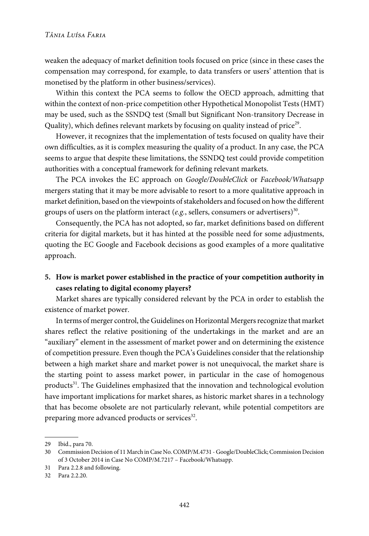weaken the adequacy of market definition tools focused on price (since in these cases the compensation may correspond, for example, to data transfers or users' attention that is monetised by the platform in other business/services).

Within this context the PCA seems to follow the OECD approach, admitting that within the context of non-price competition other Hypothetical Monopolist Tests(HMT) may be used, such as the SSNDQ test (Small but Significant Non-transitory Decrease in Quality), which defines relevant markets by focusing on quality instead of price $^{29}$ .

However, it recognizes that the implementation of tests focused on quality have their own difficulties, as it is complex measuring the quality of a product. In any case, the PCA seems to argue that despite these limitations, the SSNDQ test could provide competition authorities with a conceptual framework for defining relevant markets.

The PCA invokes the EC approach on Google/DoubleClick or Facebook/Whatsapp mergers stating that it may be more advisable to resort to a more qualitative approach in market definition, based on the viewpoints of stakeholders and focused on how the different groups of users on the platform interact (e.g., sellers, consumers or advertisers) $^{\rm 30}.$ 

Consequently, the PCA has not adopted, so far, market definitions based on different criteria for digital markets, but it has hinted at the possible need for some adjustments, quoting the EC Google and Facebook decisions as good examples of a more qualitative approach.

## **5. How is market power established in the practice of your competition authority in cases relating to digital economy players?**

Market shares are typically considered relevant by the PCA in order to establish the existence of market power.

In terms of merger control, the Guidelines on Horizontal Mergers recognize that market shares reflect the relative positioning of the undertakings in the market and are an "auxiliary" element in the assessment of market power and on determining the existence of competition pressure. Even though the PCA's Guidelines considerthat the relationship between a high market share and market power is not unequivocal, the market share is the starting point to assess market power, in particular in the case of homogenous products<sup>31</sup>. The Guidelines emphasized that the innovation and technological evolution have important implications for market shares, as historic market shares in a technology that has become obsolete are not particularly relevant, while potential competitors are preparing more advanced products or services<sup>32</sup>.

<sup>29</sup> Ibid., para 70.

<sup>30</sup> Commission Decision of 11 March inCase No.COMP/M.4731 - Google/DoubleClick;Commission Decision of 3 October 2014 in Case No COMP/M.7217 – Facebook/Whatsapp.

<sup>31</sup> Para 2.2.8 and following.

<sup>32</sup> Para 2.2.20.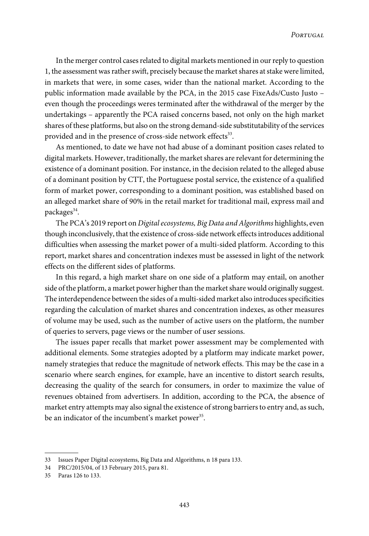In the merger control cases related to digital markets mentioned in our reply to question 1, the assessment was rather swift, precisely because the market shares at stake were limited, in markets that were, in some cases, wider than the national market. According to the public information made available by the PCA, in the 2015 case FixeAds/Custo Justo – even though the proceedings weres terminated after the withdrawal of the merger by the undertakings – apparently the PCA raised concerns based, not only on the high market shares of these platforms, but also on the strong demand-side substitutability of the services provided and in the presence of cross-side network effects<sup>33</sup>.

As mentioned, to date we have not had abuse of a dominant position cases related to digital markets. However, traditionally, the market shares are relevant for determining the existence of a dominant position. For instance, in the decision related to the alleged abuse of a dominant position by CTT, the Portuguese postal service, the existence of a qualified form of market power, corresponding to a dominant position, was established based on an alleged market share of 90% in the retail market for traditional mail, express mail and packages<sup>34</sup>.

The PCA's 2019 report on Digital ecosystems, Big Data and Algorithms highlights, even though inconclusively, that the existence of cross-side network effectsintroduces additional difficulties when assessing the market power of a multi-sided platform. According to this report, market shares and concentration indexes must be assessed in light of the network effects on the different sides of platforms.

In this regard, a high market share on one side of a platform may entail, on another side of the platform, a market power higher than the market share would originally suggest. The interdependence between the sides of a multi-sided market also introduces specificities regarding the calculation of market shares and concentration indexes, as other measures of volume may be used, such as the number of active users on the platform, the number of queries to servers, page views or the number of user sessions.

The issues paper recalls that market power assessment may be complemented with additional elements. Some strategies adopted by a platform may indicate market power, namely strategies that reduce the magnitude of network effects. This may be the case in a scenario where search engines, for example, have an incentive to distort search results, decreasing the quality of the search for consumers, in order to maximize the value of revenues obtained from advertisers. In addition, according to the PCA, the absence of market entry attempts may also signal the existence of strong barriers to entry and, as such, be an indicator of the incumbent's market power<sup>35</sup>.

<sup>33</sup> Issues Paper Digital ecosystems, Big Data and Algorithms, n 18 para 133.

<sup>34</sup> PRC/2015/04, of 13 February 2015, para 81.

<sup>35</sup> Paras 126 to 133.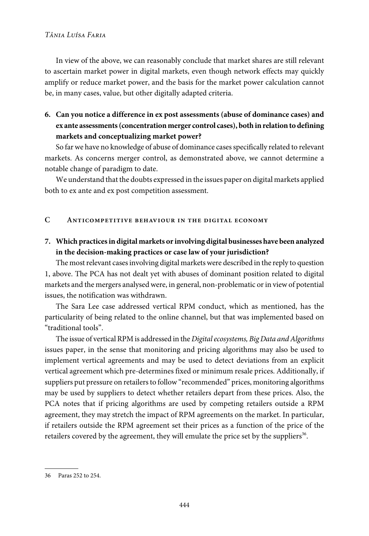## *Tânia Luísa Faria*

In view of the above, we can reasonably conclude that market shares are still relevant to ascertain market power in digital markets, even though network effects may quickly amplify or reduce market power, and the basis for the market power calculation cannot be, in many cases, value, but other digitally adapted criteria.

# **6. Can you notice a difference in ex post assessments (abuse of dominance cases) and ex ante assessments(concentration merger control cases), both in relation to defining markets and conceptualizing market power?**

So far we have no knowledge of abuse of dominance cases specifically related to relevant markets. As concerns merger control, as demonstrated above, we cannot determine a notable change of paradigm to date.

We understand that the doubts expressed in the issues paper on digital markets applied both to ex ante and ex post competition assessment.

## **C Anticompetitive behaviour in the digital economy**

# **7. Which practicesin digital markets or involving digital businesses have been analyzed in the decision-making practices or case law of your jurisdiction?**

The most relevant cases involving digital markets were described in the reply to question 1, above. The PCA has not dealt yet with abuses of dominant position related to digital markets and the mergers analysedwere, in general, non-problematic orin viewof potential issues, the notification was withdrawn.

The Sara Lee case addressed vertical RPM conduct, which as mentioned, has the particularity of being related to the online channel, but that was implemented based on "traditional tools".

The issue of vertical RPM is addressed in the Digital ecosystems, Big Data and Algorithms issues paper, in the sense that monitoring and pricing algorithms may also be used to implement vertical agreements and may be used to detect deviations from an explicit vertical agreement which pre-determines fixed or minimum resale prices. Additionally, if suppliers put pressure on retailers to follow "recommended" prices, monitoring algorithms may be used by suppliers to detect whether retailers depart from these prices. Also, the PCA notes that if pricing algorithms are used by competing retailers outside a RPM agreement, they may stretch the impact of RPM agreements on the market. In particular, if retailers outside the RPM agreement set their prices as a function of the price of the retailers covered by the agreement, they will emulate the price set by the suppliers $^{36}\!.$ 

<sup>36</sup> Paras 252 to 254.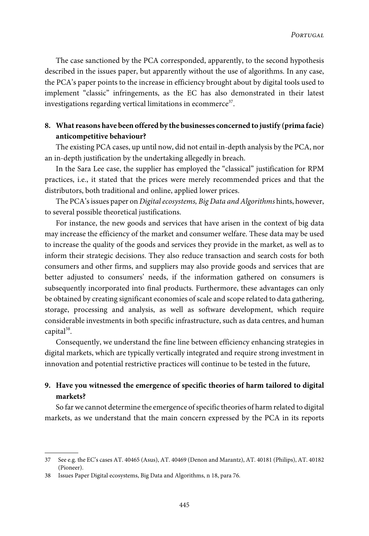The case sanctioned by the PCA corresponded, apparently, to the second hypothesis described in the issues paper, but apparently without the use of algorithms. In any case, the PCA's paper points to the increase in efficiency brought about by digital tools used to implement "classic" infringements, as the EC has also demonstrated in their latest investigations regarding vertical limitations in ecommerce $^{\scriptscriptstyle 37}$ .

# **8. What reasons have been offered by the businesses concerned to justify (prima facie) anticompetitive behaviour?**

The existing PCA cases, up until now, did not entail in-depth analysis by the PCA, nor an in-depth justification by the undertaking allegedly in breach.

In the Sara Lee case, the supplier has employed the "classical" justification for RPM practices, i.e., it stated that the prices were merely recommended prices and that the distributors, both traditional and online, applied lower prices.

The PCA's issues paper on Digital ecosystems, Big Data and Algorithms hints, however, to several possible theoretical justifications.

For instance, the new goods and services that have arisen in the context of big data may increase the efficiency of the market and consumer welfare. These data may be used to increase the quality of the goods and services they provide in the market, as well as to inform their strategic decisions. They also reduce transaction and search costs for both consumers and other firms, and suppliers may also provide goods and services that are better adjusted to consumers' needs, if the information gathered on consumers is subsequently incorporated into final products. Furthermore, these advantages can only be obtained by creating significant economies of scale and scope related to data gathering, storage, processing and analysis, as well as software development, which require considerable investments in both specific infrastructure, such as data centres, and human capital<sup>38</sup>.

Consequently, we understand the fine line between efficiency enhancing strategies in digital markets, which are typically vertically integrated and require strong investment in innovation and potential restrictive practices will continue to be tested in the future,

# **9. Have you witnessed the emergence of specific theories of harm tailored to digital markets?**

So far we cannot determine the emergence of specific theories of harm related to digital markets, as we understand that the main concern expressed by the PCA in its reports

<sup>37</sup> See e.g. the EC's cases AT. 40465 (Asus), AT. 40469 (Denon and Marantz), AT. 40181 (Philips), AT. 40182 (Pioneer).

<sup>38</sup> Issues Paper Digital ecosystems, Big Data and Algorithms, n 18, para 76.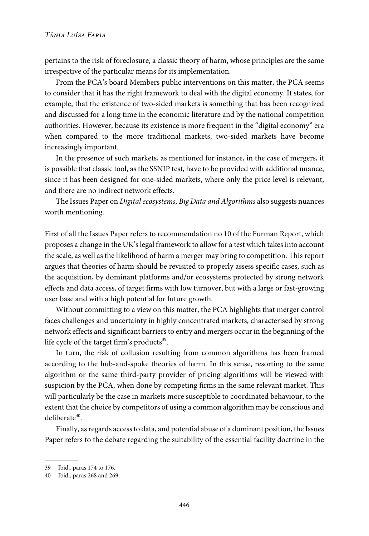pertains to the risk of foreclosure, a classic theory of harm, whose principles are the same irrespective of the particular means for its implementation.

From the PCA's board Members public interventions on this matter, the PCA seems to consider that it has the right framework to deal with the digital economy. It states, for example, that the existence of two-sided markets is something that has been recognized and discussed for a long time in the economic literature and by the national competition authorities. However, because its existence is more frequent in the "digital economy" era when compared to the more traditional markets, two-sided markets have become increasingly important.

In the presence of such markets, as mentioned for instance, in the case of mergers, it is possible that classic tool, as the SSNIP test, have to be provided with additional nuance, since it has been designed for one-sided markets, where only the price level is relevant, and there are no indirect network effects.

The Issues Paper on Digital ecosystems, Big Data and Algorithms also suggests nuances worth mentioning.

First of all the Issues Paper refers to recommendation no 10 of the Furman Report, which proposes a change in the UK's legal framework to allow for a test which takes into account the scale, as well as the likelihood of harm a merger may bring to competition. This report argues that theories of harm should be revisited to properly assess specific cases, such as the acquisition, by dominant platforms and/or ecosystems protected by strong network effects and data access, of target firms with low turnover, but with a large or fast-growing user base and with a high potential for future growth.

Without committing to a view on this matter, the PCA highlights that merger control faces challenges and uncertainty in highly concentrated markets, characterised by strong network effects and significant barriers to entry and mergers occurin the beginning of the life cycle of the target firm's products<sup>39</sup>.

In turn, the risk of collusion resulting from common algorithms has been framed according to the hub-and-spoke theories of harm. In this sense, resorting to the same algorithm or the same third-party provider of pricing algorithms will be viewed with suspicion by the PCA, when done by competing firms in the same relevant market. This will particularly be the case in markets more susceptible to coordinated behaviour, to the extent that the choice by competitors of using a common algorithm may be conscious and deliberate<sup>40</sup>.

Finally, as regards access to data, and potential abuse of a dominant position, the Issues Paper refers to the debate regarding the suitability of the essential facility doctrine in the

<sup>39</sup> Ibid., paras 174 to 176.

<sup>40</sup> Ibid., paras 268 and 269.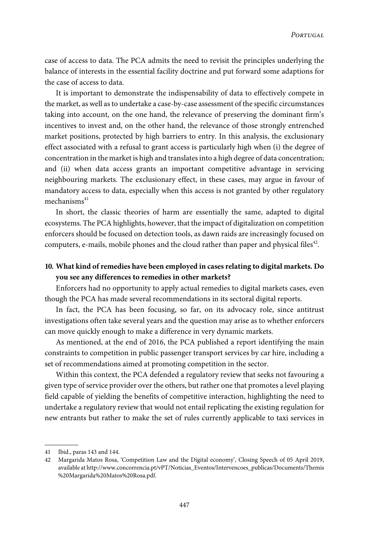case of access to data. The PCA admits the need to revisit the principles underlying the balance of interests in the essential facility doctrine and put forward some adaptions for the case of access to data.

It is important to demonstrate the indispensability of data to effectively compete in the market, as well asto undertake a case-by-case assessment of the specific circumstances taking into account, on the one hand, the relevance of preserving the dominant firm's incentives to invest and, on the other hand, the relevance of those strongly entrenched market positions, protected by high barriers to entry. In this analysis, the exclusionary effect associated with a refusal to grant access is particularly high when (i) the degree of concentration in the market is high and translatesinto a high degree of data concentration; and (ii) when data access grants an important competitive advantage in servicing neighbouring markets. The exclusionary effect, in these cases, may argue in favour of mandatory access to data, especially when this access is not granted by other regulatory  $mechanisms<sup>41</sup>$ 

In short, the classic theories of harm are essentially the same, adapted to digital ecosystems. The PCAhighlights, however, that the impact of digitalization on competition enforcers should be focused on detection tools, as dawn raids are increasingly focused on computers, e-mails, mobile phones and the cloud rather than paper and physical files $^{42}\!$ .

# **10. What kind of remedies have been employed in cases relating to digital markets. Do you see any differences to remedies in other markets?**

Enforcers had no opportunity to apply actual remedies to digital markets cases, even though the PCA has made several recommendations in its sectoral digital reports.

In fact, the PCA has been focusing, so far, on its advocacy role, since antitrust investigations often take several years and the question may arise as to whether enforcers can move quickly enough to make a difference in very dynamic markets.

As mentioned, at the end of 2016, the PCA published a report identifying the main constraints to competition in public passenger transport services by car hire, including a set of recommendations aimed at promoting competition in the sector.

Within this context, the PCA defended a regulatory review that seeks not favouring a given type of service provider over the others, but rather one that promotes a level playing field capable of yielding the benefits of competitive interaction, highlighting the need to undertake a regulatory review that would not entail replicating the existing regulation for new entrants but rather to make the set of rules currently applicable to taxi services in

<sup>41</sup> Ibid., paras 143 and 144.

<sup>42</sup> Margarida Matos Rosa, 'Competition Law and the Digital economy', Closing Speech of 05 April 2019, available at [http://www.concorrencia.pt/vPT/Noticias\\_Eventos/Intervencoes\\_publicas/Documents/Themis](www.concorrencia.pt/vPT/Noticias_Eventos/Intervencoes_publicas/Documents/Themis%20Margarida%20Matos%20Rosa.pdf) [%20Margarida%20Matos%20Rosa.pdf.](www.concorrencia.pt/vPT/Noticias_Eventos/Intervencoes_publicas/Documents/Themis%20Margarida%20Matos%20Rosa.pdf)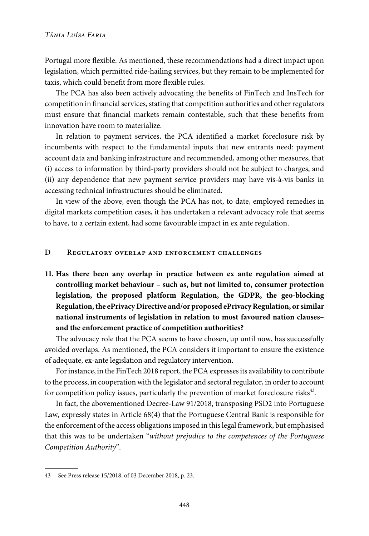Portugal more flexible. As mentioned, these recommendations had a direct impact upon legislation, which permitted ride-hailing services, but they remain to be implemented for taxis, which could benefit from more flexible rules.

The PCA has also been actively advocating the benefits of FinTech and InsTech for competition in financial services, stating that competition authorities and other regulators must ensure that financial markets remain contestable, such that these benefits from innovation have room to materialize.

In relation to payment services, the PCA identified a market foreclosure risk by incumbents with respect to the fundamental inputs that new entrants need: payment account data and banking infrastructure and recommended, among other measures, that (i) access to information by third-party providers should not be subject to charges, and (ii) any dependence that new payment service providers may have vis-à-vis banks in accessing technical infrastructures should be eliminated.

In view of the above, even though the PCA has not, to date, employed remedies in digital markets competition cases, it has undertaken a relevant advocacy role that seems to have, to a certain extent, had some favourable impact in ex ante regulation.

## **D Regulatory overlap and enforcement challenges**

**11. Has there been any overlap in practice between ex ante regulation aimed at controlling market behaviour – such as, but not limited to, consumer protection legislation, the proposed platform Regulation, the GDPR, the geo-blocking Regulation,the ePrivacyDirective and/or proposed ePrivacyRegulation, or similar national instruments of legislation in relation to most favoured nation clauses– and the enforcement practice of competition authorities?**

The advocacy role that the PCA seems to have chosen, up until now, has successfully avoided overlaps. As mentioned, the PCA considers it important to ensure the existence of adequate, ex-ante legislation and regulatory intervention.

For instance, in the FinTech 2018 report, the PCA expresses its availability to contribute to the process, in cooperation with the legislator and sectoral regulator, in order to account for competition policy issues, particularly the prevention of market foreclosure risks $^{\rm 43}.$ 

In fact, the abovementioned Decree-Law 91/2018, transposing PSD2 into Portuguese Law, expressly states in Article 68(4) that the Portuguese Central Bank is responsible for the enforcement of the access obligationsimposed in thislegal framework, but emphasised that this was to be undertaken "without prejudice to the competences of the Portuguese Competition Authority".

<sup>43</sup> See Press release 15/2018, of 03 December 2018, p. 23.